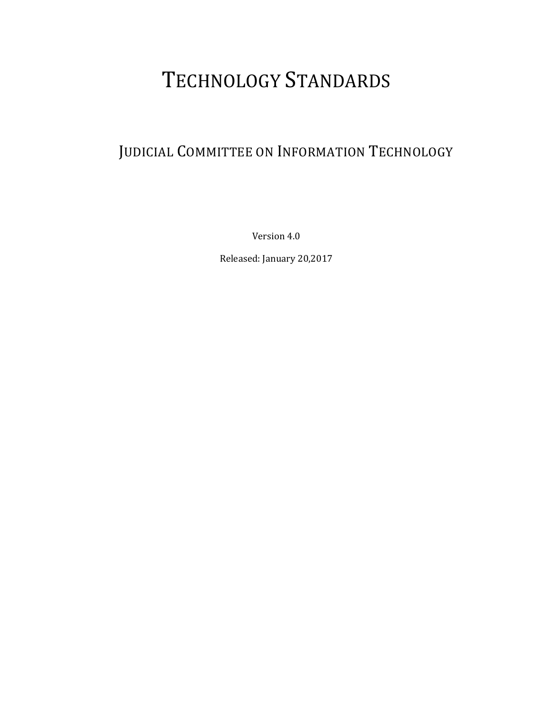# TECHNOLOGY STANDARDS

# JUDICIAL COMMITTEE ON INFORMATION TECHNOLOGY

Version 4.0

Released: January 20,2017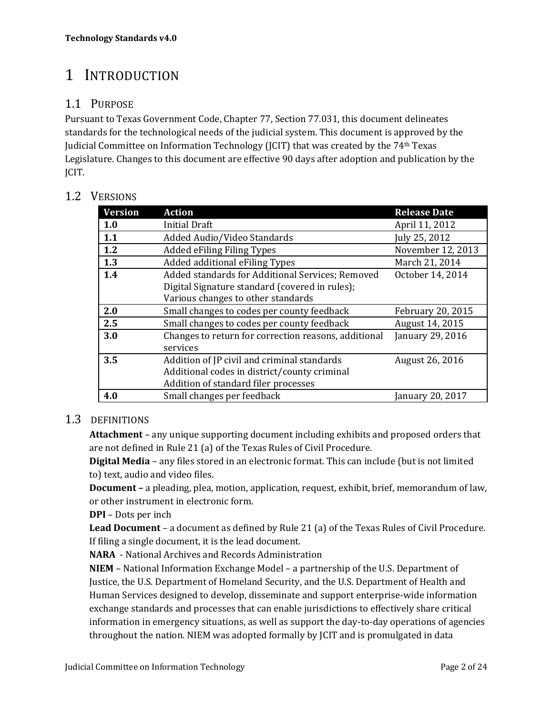# 1 INTRODUCTION

#### 1.1 PURPOSE

Pursuant to Texas Government Code, Chapter 77, Section 77.031, this document delineates standards for the technological needs of the judicial system. This document is approved by the Judicial Committee on Information Technology (JCIT) that was created by the 74<sup>th</sup> Texas Legislature. Changes to this document are effective 90 days after adoption and publication by the JCIT. 

#### 1.2 VERSIONS

| <b>Version</b> | <b>Action</b>                                        | <b>Release Date</b> |
|----------------|------------------------------------------------------|---------------------|
| 1.0            | <b>Initial Draft</b>                                 | April 11, 2012      |
| 1.1            | Added Audio/Video Standards                          | July 25, 2012       |
| 1.2            | <b>Added eFiling Filing Types</b>                    | November 12, 2013   |
| 1.3            | Added additional eFiling Types                       | March 21, 2014      |
| 1.4            | Added standards for Additional Services; Removed     | October 14, 2014    |
|                | Digital Signature standard (covered in rules);       |                     |
|                | Various changes to other standards                   |                     |
| 2.0            | Small changes to codes per county feedback           | February 20, 2015   |
| 2.5            | Small changes to codes per county feedback           | August 14, 2015     |
| 3.0            | Changes to return for correction reasons, additional | January 29, 2016    |
|                | services                                             |                     |
| 3.5            | Addition of JP civil and criminal standards          | August 26, 2016     |
|                | Additional codes in district/county criminal         |                     |
|                | Addition of standard filer processes                 |                     |
| 4.0            | Small changes per feedback                           | January 20, 2017    |

#### 1.3 DEFINITIONS

**Attachment** – any unique supporting document including exhibits and proposed orders that are not defined in Rule 21 (a) of the Texas Rules of Civil Procedure.

**Digital Media** – any files stored in an electronic format. This can include (but is not limited to) text, audio and video files.

**Document** – a pleading, plea, motion, application, request, exhibit, brief, memorandum of law, or other instrument in electronic form.

**DPI** – Dots per inch

**Lead Document** – a document as defined by Rule 21 (a) of the Texas Rules of Civil Procedure. If filing a single document, it is the lead document.

**NARA** - National Archives and Records Administration

**NIEM** – National Information Exchange Model – a partnership of the U.S. Department of Justice, the U.S. Department of Homeland Security, and the U.S. Department of Health and Human Services designed to develop, disseminate and support enterprise-wide information exchange standards and processes that can enable jurisdictions to effectively share critical information in emergency situations, as well as support the day-to-day operations of agencies throughout the nation. NIEM was adopted formally by JCIT and is promulgated in data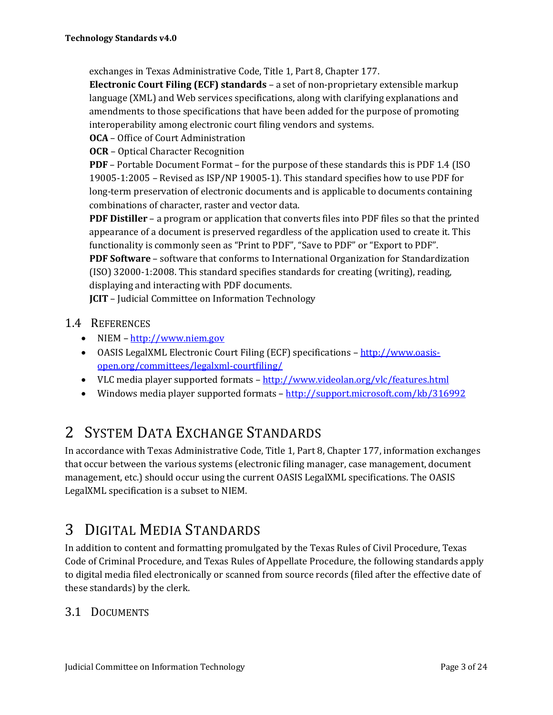exchanges in Texas Administrative Code, Title 1, Part 8, Chapter 177.

**Electronic Court Filing (ECF) standards** – a set of non‐proprietary extensible markup language (XML) and Web services specifications, along with clarifying explanations and amendments to those specifications that have been added for the purpose of promoting interoperability among electronic court filing vendors and systems.

**OCA** – Office of Court Administration

**OCR** – Optical Character Recognition

**PDF** – Portable Document Format – for the purpose of these standards this is PDF 1.4 (ISO) 19005-1:2005 – Revised as  $ISP/NP$  19005-1). This standard specifies how to use PDF for long-term preservation of electronic documents and is applicable to documents containing combinations of character, raster and vector data.

**PDF** Distiller – a program or application that converts files into PDF files so that the printed appearance of a document is preserved regardless of the application used to create it. This functionality is commonly seen as "Print to PDF", "Save to PDF" or "Export to PDF". **PDF Software** – software that conforms to International Organization for Standardization  $(ISO)$  32000-1:2008. This standard specifies standards for creating (writing), reading, displaying and interacting with PDF documents.

**JCIT** – Judicial Committee on Information Technology

- 1.4 REFERENCES
	- $\bullet$  NIEM http://www.niem.gov
	- OASIS LegalXML Electronic Court Filing (ECF) specifications http://www.oasisopen.org/committees/legalxml‐courtfiling/
	- VLC media player supported formats  $-\frac{http://www.videolan.org/vlc/features.html}{http://www.videolan.org/vlc/features.html}$
	- Windows media player supported formats  $-\frac{http://support.microsoft.com/kb/316992}{}$

## 2 SYSTEM DATA EXCHANGE STANDARDS

In accordance with Texas Administrative Code, Title 1, Part 8, Chapter 177, information exchanges that occur between the various systems (electronic filing manager, case management, document management, etc.) should occur using the current OASIS LegalXML specifications. The OASIS LegalXML specification is a subset to NIEM.

# 3 DIGITAL MEDIA STANDARDS

In addition to content and formatting promulgated by the Texas Rules of Civil Procedure, Texas Code of Criminal Procedure, and Texas Rules of Appellate Procedure, the following standards apply to digital media filed electronically or scanned from source records (filed after the effective date of these standards) by the clerk.

#### 3.1 DOCUMENTS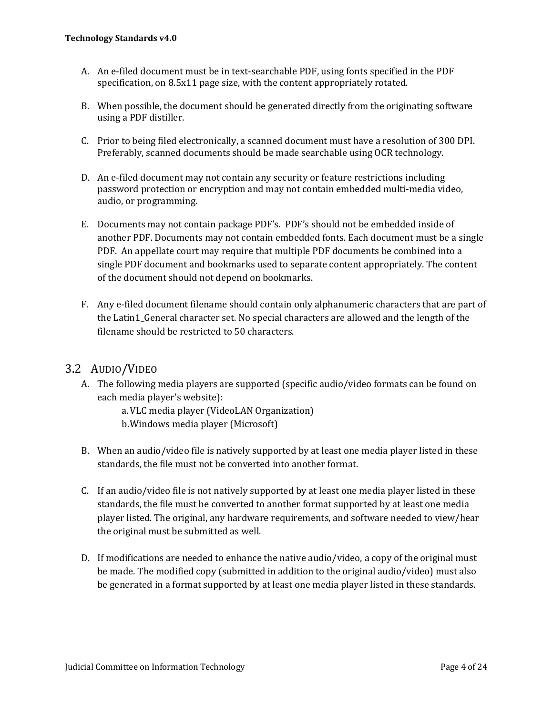- A. An e-filed document must be in text-searchable PDF, using fonts specified in the PDF specification, on 8.5x11 page size, with the content appropriately rotated.
- B. When possible, the document should be generated directly from the originating software using a PDF distiller.
- C. Prior to being filed electronically, a scanned document must have a resolution of 300 DPI. Preferably, scanned documents should be made searchable using OCR technology.
- D. An e-filed document may not contain any security or feature restrictions including password protection or encryption and may not contain embedded multi-media video, audio, or programming.
- E. Documents may not contain package PDF's. PDF's should not be embedded inside of another PDF. Documents may not contain embedded fonts. Each document must be a single PDF. An appellate court may require that multiple PDF documents be combined into a single PDF document and bookmarks used to separate content appropriately. The content of the document should not depend on bookmarks.
- F. Any e-filed document filename should contain only alphanumeric characters that are part of the Latin1\_General character set. No special characters are allowed and the length of the filename should be restricted to 50 characters.

#### 3.2 AUDIO/VIDEO

- A. The following media players are supported (specific audio/video formats can be found on each media player's website):
	- a. VLC media player (VideoLAN Organization)
	- b. Windows media player (Microsoft)
- B. When an audio/video file is natively supported by at least one media player listed in these standards, the file must not be converted into another format.
- C. If an audio/video file is not natively supported by at least one media player listed in these standards, the file must be converted to another format supported by at least one media player listed. The original, any hardware requirements, and software needed to view/hear the original must be submitted as well.
- D. If modifications are needed to enhance the native audio/video, a copy of the original must be made. The modified copy (submitted in addition to the original audio/video) must also be generated in a format supported by at least one media player listed in these standards.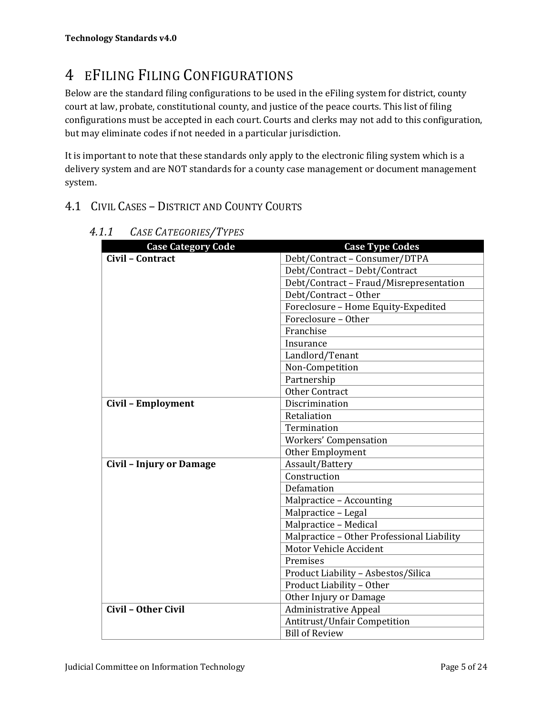# 4 EFILING FILING CONFIGURATIONS

Below are the standard filing configurations to be used in the eFiling system for district, county court at law, probate, constitutional county, and justice of the peace courts. This list of filing configurations must be accepted in each court. Courts and clerks may not add to this configuration, but may eliminate codes if not needed in a particular jurisdiction.

It is important to note that these standards only apply to the electronic filing system which is a delivery system and are NOT standards for a county case management or document management system. 

#### 4.1 CIVIL CASES - DISTRICT AND COUNTY COURTS

| <b>Case Category Code</b>       | <b>Case Type Codes</b>                     |
|---------------------------------|--------------------------------------------|
| Civil - Contract                | Debt/Contract - Consumer/DTPA              |
|                                 | Debt/Contract - Debt/Contract              |
|                                 | Debt/Contract - Fraud/Misrepresentation    |
|                                 | Debt/Contract - Other                      |
|                                 | Foreclosure - Home Equity-Expedited        |
|                                 | Foreclosure - Other                        |
|                                 | Franchise                                  |
|                                 | Insurance                                  |
|                                 | Landlord/Tenant                            |
|                                 | Non-Competition                            |
|                                 | Partnership                                |
|                                 | <b>Other Contract</b>                      |
| Civil - Employment              | Discrimination                             |
|                                 | Retaliation                                |
|                                 | Termination                                |
|                                 | Workers' Compensation                      |
|                                 | Other Employment                           |
| <b>Civil - Injury or Damage</b> | Assault/Battery                            |
|                                 | Construction                               |
|                                 | Defamation                                 |
|                                 | Malpractice - Accounting                   |
|                                 | Malpractice - Legal                        |
|                                 | Malpractice - Medical                      |
|                                 | Malpractice - Other Professional Liability |
|                                 | Motor Vehicle Accident                     |
|                                 | Premises                                   |
|                                 | Product Liability - Asbestos/Silica        |
|                                 | Product Liability - Other                  |
|                                 | Other Injury or Damage                     |
| Civil - Other Civil             | <b>Administrative Appeal</b>               |
|                                 | Antitrust/Unfair Competition               |
|                                 | <b>Bill of Review</b>                      |

*4.1.1 CASE CATEGORIES/TYPES*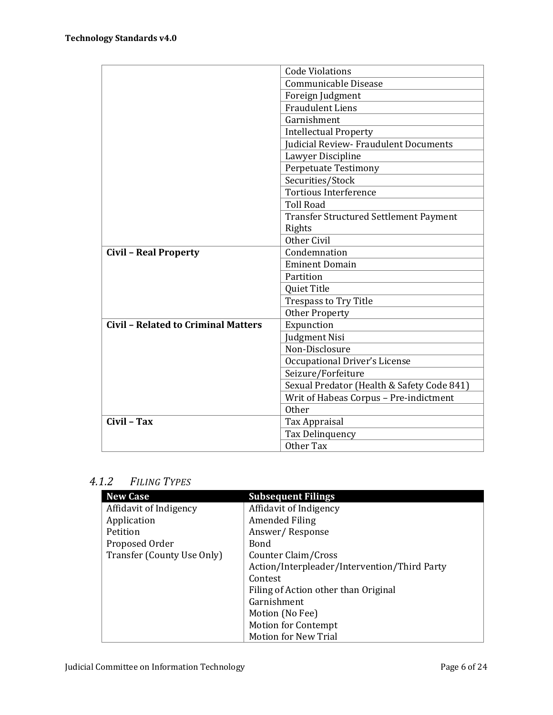|                                            | <b>Code Violations</b>                        |
|--------------------------------------------|-----------------------------------------------|
|                                            | Communicable Disease                          |
|                                            | Foreign Judgment                              |
|                                            | <b>Fraudulent Liens</b>                       |
|                                            | Garnishment                                   |
|                                            | <b>Intellectual Property</b>                  |
|                                            | Judicial Review- Fraudulent Documents         |
|                                            | Lawyer Discipline                             |
|                                            | Perpetuate Testimony                          |
|                                            | Securities/Stock                              |
|                                            | Tortious Interference                         |
|                                            | <b>Toll Road</b>                              |
|                                            | <b>Transfer Structured Settlement Payment</b> |
|                                            | Rights                                        |
|                                            | Other Civil                                   |
| <b>Civil - Real Property</b>               | Condemnation                                  |
|                                            | <b>Eminent Domain</b>                         |
|                                            | Partition                                     |
|                                            | Quiet Title                                   |
|                                            | <b>Trespass to Try Title</b>                  |
|                                            | <b>Other Property</b>                         |
| <b>Civil - Related to Criminal Matters</b> | Expunction                                    |
|                                            | Judgment Nisi                                 |
|                                            | Non-Disclosure                                |
|                                            | <b>Occupational Driver's License</b>          |
|                                            | Seizure/Forfeiture                            |
|                                            | Sexual Predator (Health & Safety Code 841)    |
|                                            | Writ of Habeas Corpus - Pre-indictment        |
|                                            | Other                                         |
| Civil - Tax                                | Tax Appraisal                                 |
|                                            | Tax Delinquency                               |
|                                            | Other Tax                                     |

#### *4.1.2 FILING TYPES*

| <b>New Case</b>            | <b>Subsequent Filings</b>                    |
|----------------------------|----------------------------------------------|
| Affidavit of Indigency     | Affidavit of Indigency                       |
| Application                | Amended Filing                               |
| Petition                   | Answer/Response                              |
| Proposed Order             | Bond                                         |
| Transfer (County Use Only) | Counter Claim/Cross                          |
|                            | Action/Interpleader/Intervention/Third Party |
|                            | Contest                                      |
|                            | Filing of Action other than Original         |
|                            | Garnishment                                  |
|                            | Motion (No Fee)                              |
|                            | <b>Motion for Contempt</b>                   |
|                            | <b>Motion for New Trial</b>                  |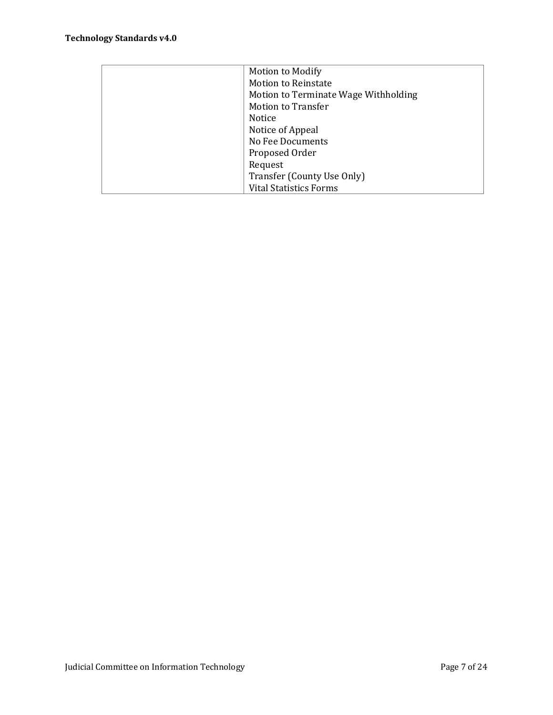| Motion to Modify                     |
|--------------------------------------|
| <b>Motion to Reinstate</b>           |
| Motion to Terminate Wage Withholding |
| <b>Motion to Transfer</b>            |
| Notice                               |
| Notice of Appeal                     |
| No Fee Documents                     |
| Proposed Order                       |
| Request                              |
| Transfer (County Use Only)           |
| <b>Vital Statistics Forms</b>        |
|                                      |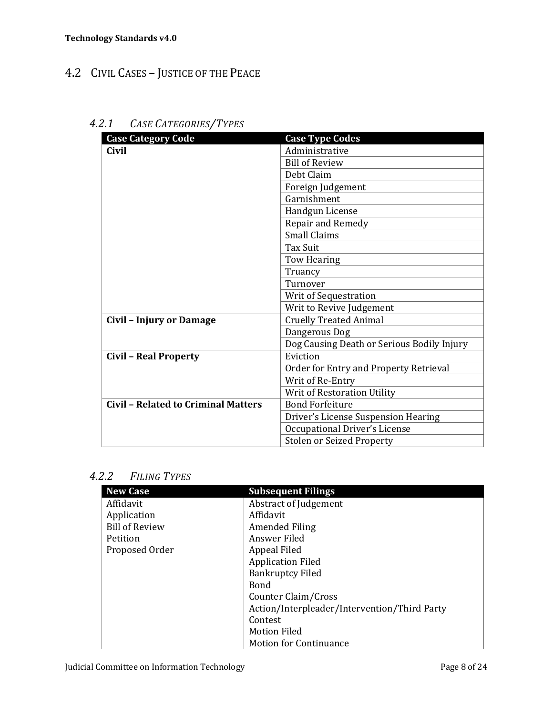### 4.2 CIVIL CASES - JUSTICE OF THE PEACE

| <b>Case Category Code</b>                  | <b>Case Type Codes</b>                     |
|--------------------------------------------|--------------------------------------------|
| Civil                                      | Administrative                             |
|                                            | <b>Bill of Review</b>                      |
|                                            | Debt Claim                                 |
|                                            | Foreign Judgement                          |
|                                            | Garnishment                                |
|                                            | Handgun License                            |
|                                            | Repair and Remedy                          |
|                                            | <b>Small Claims</b>                        |
|                                            | <b>Tax Suit</b>                            |
|                                            | Tow Hearing                                |
|                                            | Truancy                                    |
|                                            | Turnover                                   |
|                                            | Writ of Sequestration                      |
|                                            | Writ to Revive Judgement                   |
| Civil - Injury or Damage                   | <b>Cruelly Treated Animal</b>              |
|                                            | Dangerous Dog                              |
|                                            | Dog Causing Death or Serious Bodily Injury |
| <b>Civil - Real Property</b>               | Eviction                                   |
|                                            | Order for Entry and Property Retrieval     |
|                                            | Writ of Re-Entry                           |
|                                            | Writ of Restoration Utility                |
| <b>Civil - Related to Criminal Matters</b> | <b>Bond Forfeiture</b>                     |
|                                            | Driver's License Suspension Hearing        |
|                                            | Occupational Driver's License              |
|                                            | <b>Stolen or Seized Property</b>           |

### *4.2.1 CASE CATEGORIES/TYPES*

#### *4.2.2 FILING TYPES*

| <b>New Case</b>       | <b>Subsequent Filings</b>                    |
|-----------------------|----------------------------------------------|
| Affidavit             | Abstract of Judgement                        |
| Application           | Affidavit                                    |
| <b>Bill of Review</b> | Amended Filing                               |
| Petition              | Answer Filed                                 |
| Proposed Order        | Appeal Filed                                 |
|                       | <b>Application Filed</b>                     |
|                       | <b>Bankruptcy Filed</b>                      |
|                       | <b>Bond</b>                                  |
|                       | Counter Claim/Cross                          |
|                       | Action/Interpleader/Intervention/Third Party |
|                       | Contest                                      |
|                       | <b>Motion Filed</b>                          |
|                       | <b>Motion for Continuance</b>                |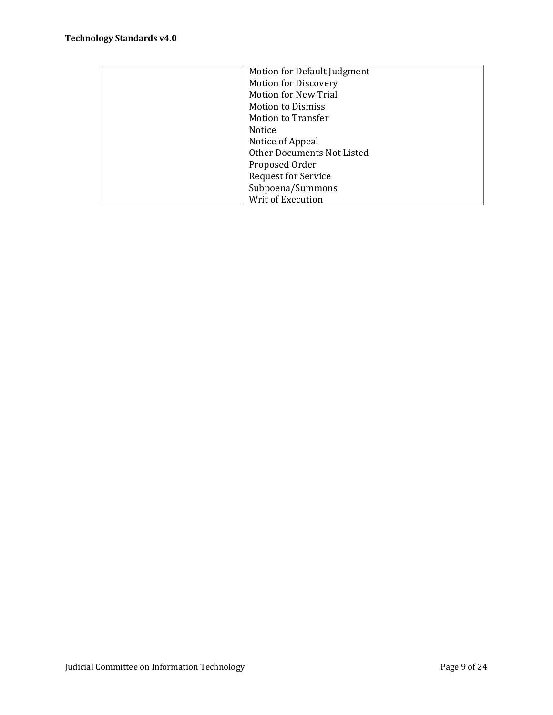| Motion for Default Judgment |
|-----------------------------|
| <b>Motion for Discovery</b> |
| <b>Motion for New Trial</b> |
| <b>Motion to Dismiss</b>    |
| <b>Motion to Transfer</b>   |
| Notice                      |
| Notice of Appeal            |
| Other Documents Not Listed  |
| Proposed Order              |
| <b>Request for Service</b>  |
| Subpoena/Summons            |
| Writ of Execution           |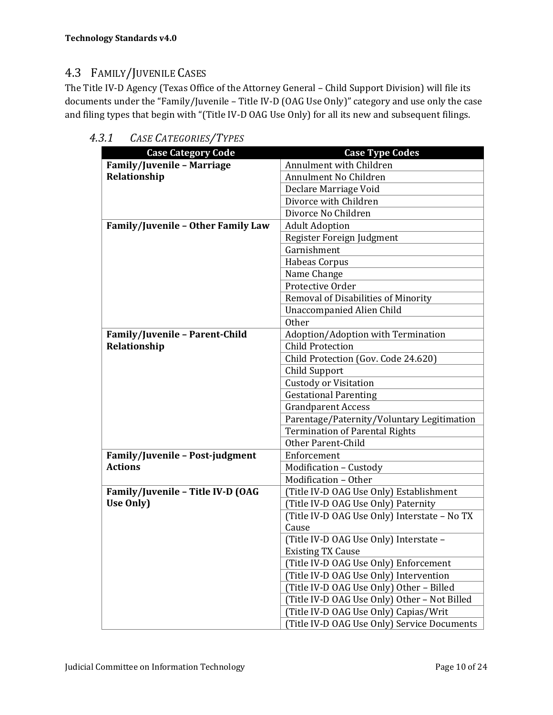### 4.3 FAMILY/JUVENILE CASES

The Title IV-D Agency (Texas Office of the Attorney General - Child Support Division) will file its documents under the "Family/Juvenile - Title IV-D (OAG Use Only)" category and use only the case and filing types that begin with "(Title IV-D OAG Use Only) for all its new and subsequent filings.

| <b>Case Category Code</b>          | <b>Case Type Codes</b>                       |
|------------------------------------|----------------------------------------------|
| <b>Family/Juvenile - Marriage</b>  | Annulment with Children                      |
| Relationship                       | Annulment No Children                        |
|                                    | Declare Marriage Void                        |
|                                    | Divorce with Children                        |
|                                    | Divorce No Children                          |
| Family/Juvenile - Other Family Law | <b>Adult Adoption</b>                        |
|                                    | Register Foreign Judgment                    |
|                                    | Garnishment                                  |
|                                    | Habeas Corpus                                |
|                                    | Name Change                                  |
|                                    | Protective Order                             |
|                                    | Removal of Disabilities of Minority          |
|                                    | <b>Unaccompanied Alien Child</b>             |
|                                    | Other                                        |
| Family/Juvenile - Parent-Child     | Adoption/Adoption with Termination           |
| Relationship                       | <b>Child Protection</b>                      |
|                                    | Child Protection (Gov. Code 24.620)          |
|                                    | Child Support                                |
|                                    | <b>Custody or Visitation</b>                 |
|                                    | <b>Gestational Parenting</b>                 |
|                                    | <b>Grandparent Access</b>                    |
|                                    | Parentage/Paternity/Voluntary Legitimation   |
|                                    | <b>Termination of Parental Rights</b>        |
|                                    | Other Parent-Child                           |
| Family/Juvenile - Post-judgment    | Enforcement                                  |
| <b>Actions</b>                     | Modification - Custody                       |
|                                    | Modification - Other                         |
| Family/Juvenile - Title IV-D (OAG  | (Title IV-D OAG Use Only) Establishment      |
| Use Only)                          | (Title IV-D OAG Use Only) Paternity          |
|                                    | (Title IV-D OAG Use Only) Interstate - No TX |
|                                    | Cause                                        |
|                                    | (Title IV-D OAG Use Only) Interstate -       |
|                                    | <b>Existing TX Cause</b>                     |
|                                    | (Title IV-D OAG Use Only) Enforcement        |
|                                    | (Title IV-D OAG Use Only) Intervention       |
|                                    | (Title IV-D OAG Use Only) Other - Billed     |
|                                    | (Title IV-D OAG Use Only) Other - Not Billed |
|                                    | (Title IV-D OAG Use Only) Capias/Writ        |
|                                    | (Title IV-D OAG Use Only) Service Documents  |

*4.3.1 CASE CATEGORIES/TYPES*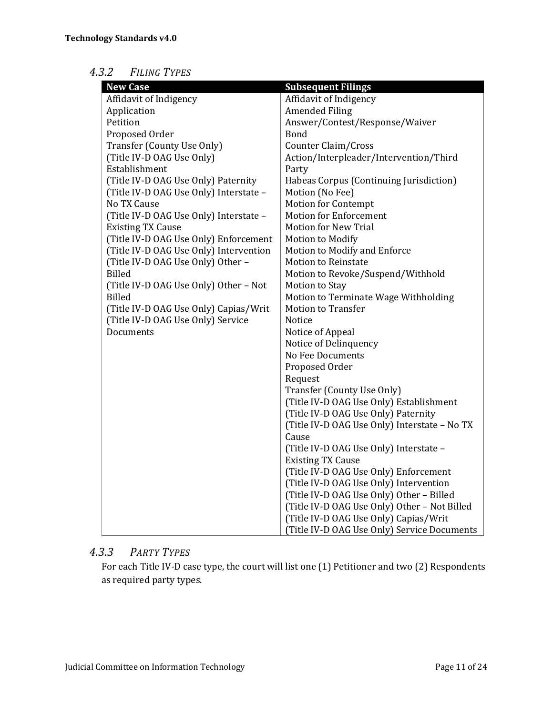#### *4.3.2 FILING TYPES*

| <b>New Case</b>                        | <b>Subsequent Filings</b>                    |
|----------------------------------------|----------------------------------------------|
| Affidavit of Indigency                 | Affidavit of Indigency                       |
| Application                            | <b>Amended Filing</b>                        |
| Petition                               | Answer/Contest/Response/Waiver               |
| Proposed Order                         | Bond                                         |
| Transfer (County Use Only)             | Counter Claim/Cross                          |
| (Title IV-D OAG Use Only)              | Action/Interpleader/Intervention/Third       |
| Establishment                          | Party                                        |
| (Title IV-D OAG Use Only) Paternity    | Habeas Corpus (Continuing Jurisdiction)      |
| (Title IV-D OAG Use Only) Interstate - | Motion (No Fee)                              |
| No TX Cause                            | <b>Motion for Contempt</b>                   |
| (Title IV-D OAG Use Only) Interstate - | <b>Motion for Enforcement</b>                |
| <b>Existing TX Cause</b>               | <b>Motion for New Trial</b>                  |
| (Title IV-D OAG Use Only) Enforcement  | Motion to Modify                             |
| (Title IV-D OAG Use Only) Intervention | Motion to Modify and Enforce                 |
| (Title IV-D OAG Use Only) Other -      | <b>Motion to Reinstate</b>                   |
| <b>Billed</b>                          | Motion to Revoke/Suspend/Withhold            |
| (Title IV-D OAG Use Only) Other - Not  | Motion to Stay                               |
| <b>Billed</b>                          | Motion to Terminate Wage Withholding         |
| (Title IV-D OAG Use Only) Capias/Writ  | <b>Motion to Transfer</b>                    |
| (Title IV-D OAG Use Only) Service      | Notice                                       |
| Documents                              | Notice of Appeal                             |
|                                        | Notice of Delinquency                        |
|                                        | No Fee Documents                             |
|                                        | Proposed Order                               |
|                                        | Request                                      |
|                                        | Transfer (County Use Only)                   |
|                                        | (Title IV-D OAG Use Only) Establishment      |
|                                        | (Title IV-D OAG Use Only) Paternity          |
|                                        | (Title IV-D OAG Use Only) Interstate - No TX |
|                                        | Cause                                        |
|                                        | (Title IV-D OAG Use Only) Interstate -       |
|                                        | <b>Existing TX Cause</b>                     |
|                                        | (Title IV-D OAG Use Only) Enforcement        |
|                                        | (Title IV-D OAG Use Only) Intervention       |
|                                        | (Title IV-D OAG Use Only) Other - Billed     |
|                                        | (Title IV-D OAG Use Only) Other - Not Billed |
|                                        | (Title IV-D OAG Use Only) Capias/Writ        |
|                                        | (Title IV-D OAG Use Only) Service Documents  |

#### *4.3.3 PARTY TYPES*

For each Title IV-D case type, the court will list one (1) Petitioner and two (2) Respondents as required party types.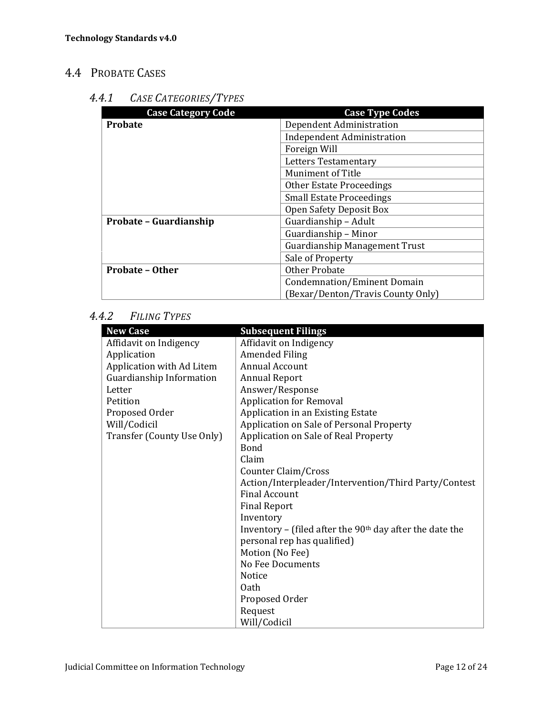### 4.4 PROBATE CASES

#### *4.4.1 CASE CATEGORIES/TYPES*

| <b>Case Category Code</b> | <b>Case Type Codes</b>               |
|---------------------------|--------------------------------------|
| Probate                   | Dependent Administration             |
|                           | <b>Independent Administration</b>    |
|                           | Foreign Will                         |
|                           | Letters Testamentary                 |
|                           | <b>Muniment of Title</b>             |
|                           | Other Estate Proceedings             |
|                           | <b>Small Estate Proceedings</b>      |
|                           | Open Safety Deposit Box              |
| Probate - Guardianship    | Guardianship - Adult                 |
|                           | Guardianship - Minor                 |
|                           | <b>Guardianship Management Trust</b> |
|                           | Sale of Property                     |
| <b>Probate - Other</b>    | <b>Other Probate</b>                 |
|                           | Condemnation/Eminent Domain          |
|                           | (Bexar/Denton/Travis County Only)    |

#### *4.4.2 FILING TYPES*

| <b>New Case</b>            | <b>Subsequent Filings</b>                                  |
|----------------------------|------------------------------------------------------------|
| Affidavit on Indigency     | Affidavit on Indigency                                     |
| Application                | <b>Amended Filing</b>                                      |
| Application with Ad Litem  | Annual Account                                             |
| Guardianship Information   | <b>Annual Report</b>                                       |
| Letter                     | Answer/Response                                            |
| Petition                   | <b>Application for Removal</b>                             |
| Proposed Order             | Application in an Existing Estate                          |
| Will/Codicil               | Application on Sale of Personal Property                   |
| Transfer (County Use Only) | Application on Sale of Real Property                       |
|                            | Bond                                                       |
|                            | Claim                                                      |
|                            | Counter Claim/Cross                                        |
|                            | Action/Interpleader/Intervention/Third Party/Contest       |
|                            | Final Account                                              |
|                            | <b>Final Report</b>                                        |
|                            | Inventory                                                  |
|                            | Inventory – (filed after the $90th$ day after the date the |
|                            | personal rep has qualified)                                |
|                            | Motion (No Fee)                                            |
|                            | No Fee Documents                                           |
|                            | <b>Notice</b>                                              |
|                            | 0ath                                                       |
|                            | Proposed Order                                             |
|                            | Request                                                    |
|                            | Will/Codicil                                               |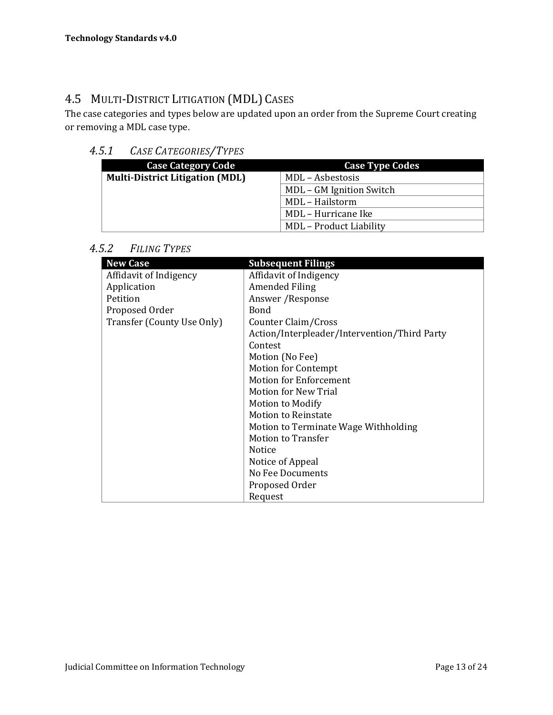### 4.5 MULTI-DISTRICT LITIGATION (MDL) CASES

The case categories and types below are updated upon an order from the Supreme Court creating or removing a MDL case type.

#### *4.5.1 CASE CATEGORIES/TYPES*

| <b>Case Category Code</b>              | <b>Case Type Codes</b>         |
|----------------------------------------|--------------------------------|
| <b>Multi-District Litigation (MDL)</b> | MDL - Asbestosis               |
|                                        | MDL - GM Ignition Switch       |
|                                        | MDL - Hailstorm                |
|                                        | MDL - Hurricane Ike            |
|                                        | <b>MDL</b> – Product Liability |

*4.5.2 FILING TYPES*

| <b>New Case</b>            | <b>Subsequent Filings</b>                    |
|----------------------------|----------------------------------------------|
| Affidavit of Indigency     | Affidavit of Indigency                       |
| Application                | Amended Filing                               |
| Petition                   | Answer / Response                            |
| Proposed Order             | <b>Bond</b>                                  |
| Transfer (County Use Only) | Counter Claim/Cross                          |
|                            | Action/Interpleader/Intervention/Third Party |
|                            | Contest                                      |
|                            | Motion (No Fee)                              |
|                            | <b>Motion for Contempt</b>                   |
|                            | <b>Motion for Enforcement</b>                |
|                            | Motion for New Trial                         |
|                            | <b>Motion to Modify</b>                      |
|                            | <b>Motion to Reinstate</b>                   |
|                            | Motion to Terminate Wage Withholding         |
|                            | <b>Motion to Transfer</b>                    |
|                            | Notice                                       |
|                            | Notice of Appeal                             |
|                            | No Fee Documents                             |
|                            | Proposed Order                               |
|                            | Request                                      |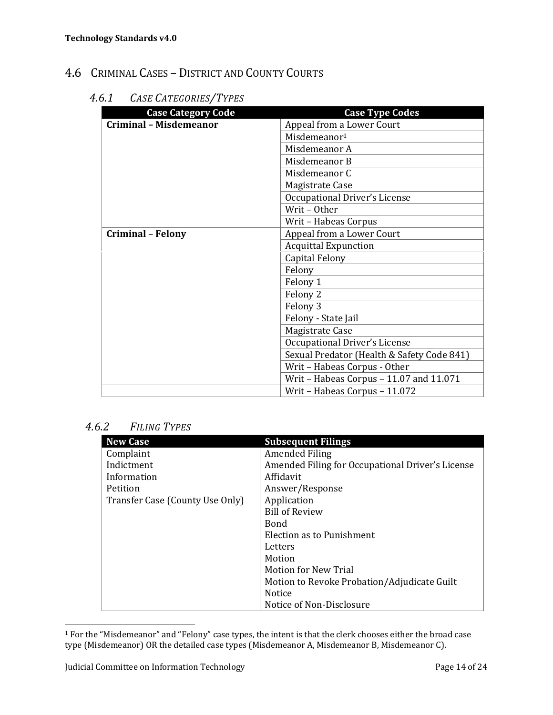### 4.6 CRIMINAL CASES - DISTRICT AND COUNTY COURTS

#### *4.6.1 CASE CATEGORIES/TYPES*

| <b>Case Category Code</b>     | <b>Case Type Codes</b>                     |
|-------------------------------|--------------------------------------------|
| <b>Criminal - Misdemeanor</b> | Appeal from a Lower Court                  |
|                               | Misdemeanor <sup>1</sup>                   |
|                               | Misdemeanor A                              |
|                               | Misdemeanor B                              |
|                               | Misdemeanor C                              |
|                               | Magistrate Case                            |
|                               | Occupational Driver's License              |
|                               | Writ-Other                                 |
|                               | Writ - Habeas Corpus                       |
| <b>Criminal - Felony</b>      | Appeal from a Lower Court                  |
|                               | <b>Acquittal Expunction</b>                |
|                               | Capital Felony                             |
|                               | Felony                                     |
|                               | Felony 1                                   |
|                               | Felony 2                                   |
|                               | Felony 3                                   |
|                               | Felony - State Jail                        |
|                               | Magistrate Case                            |
|                               | Occupational Driver's License              |
|                               | Sexual Predator (Health & Safety Code 841) |
|                               | Writ - Habeas Corpus - Other               |
|                               | Writ - Habeas Corpus - 11.07 and 11.071    |
|                               | Writ - Habeas Corpus - 11.072              |

*4.6.2 FILING TYPES*

| <b>New Case</b>                 | <b>Subsequent Filings</b>                        |
|---------------------------------|--------------------------------------------------|
| Complaint                       | Amended Filing                                   |
| Indictment                      | Amended Filing for Occupational Driver's License |
| Information                     | Affidavit                                        |
| Petition                        | Answer/Response                                  |
| Transfer Case (County Use Only) | Application                                      |
|                                 | <b>Bill of Review</b>                            |
|                                 | <b>Bond</b>                                      |
|                                 | Election as to Punishment                        |
|                                 | Letters                                          |
|                                 | Motion                                           |
|                                 | <b>Motion for New Trial</b>                      |
|                                 | Motion to Revoke Probation/Adjudicate Guilt      |
|                                 | <b>Notice</b>                                    |
|                                 | Notice of Non-Disclosure                         |

 $^1$  For the "Misdemeanor" and "Felony" case types, the intent is that the clerk chooses either the broad case type (Misdemeanor) OR the detailed case types (Misdemeanor A, Misdemeanor B, Misdemeanor C).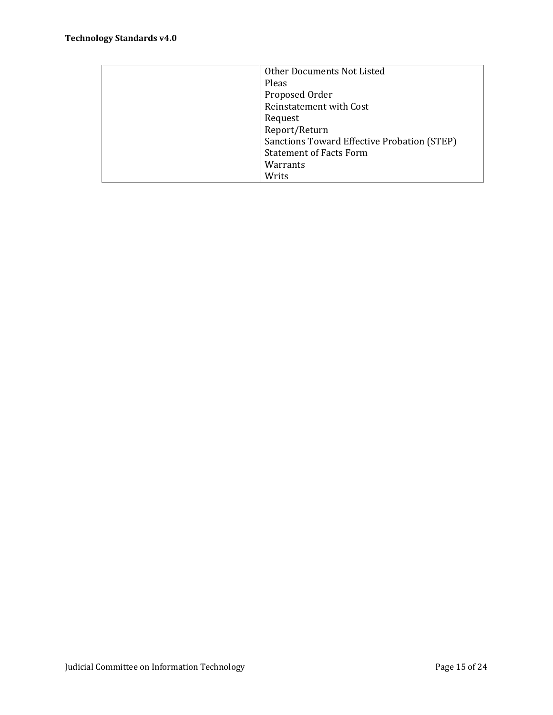| Other Documents Not Listed                  |
|---------------------------------------------|
| Pleas                                       |
| Proposed Order                              |
| Reinstatement with Cost                     |
| Request                                     |
| Report/Return                               |
| Sanctions Toward Effective Probation (STEP) |
| <b>Statement of Facts Form</b>              |
| Warrants                                    |
| Writs                                       |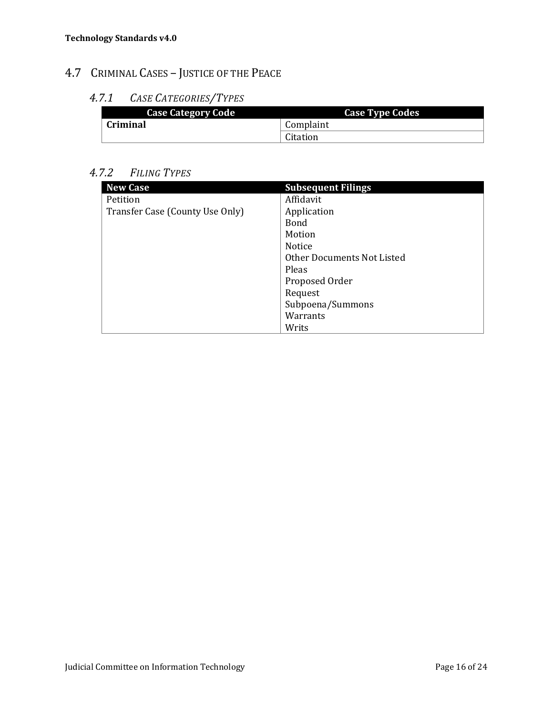### 4.7 CRIMINAL CASES - JUSTICE OF THE PEACE

#### *4.7.1 CASE CATEGORIES/TYPES*

| <b>Case Category Code</b> | <b>Case Type Codes</b> |
|---------------------------|------------------------|
| Criminal                  | Complaint              |
|                           | Citation               |

#### *4.7.2 FILING TYPES*

| <b>New Case</b>                 | <b>Subsequent Filings</b>  |
|---------------------------------|----------------------------|
| Petition                        | Affidavit                  |
| Transfer Case (County Use Only) | Application                |
|                                 | <b>Bond</b>                |
|                                 | Motion                     |
|                                 | Notice                     |
|                                 | Other Documents Not Listed |
|                                 | Pleas                      |
|                                 | Proposed Order             |
|                                 | Request                    |
|                                 | Subpoena/Summons           |
|                                 | Warrants                   |
|                                 | Writs                      |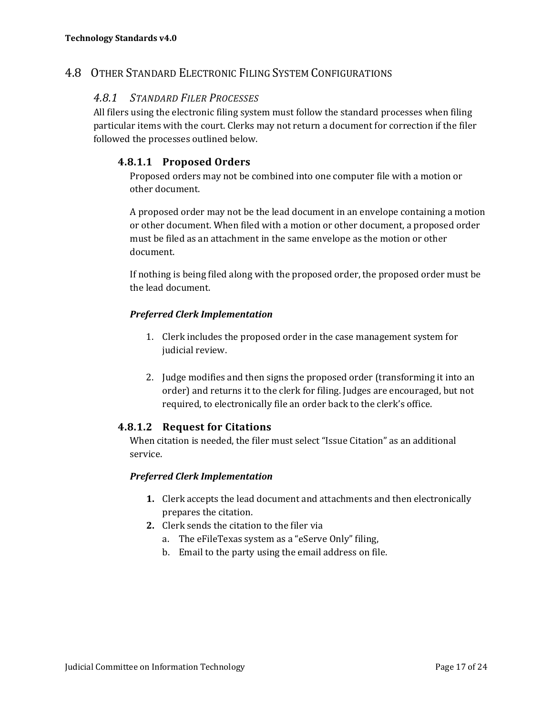#### 4.8 OTHER STANDARD ELECTRONIC FILING SYSTEM CONFIGURATIONS

#### *4.8.1 STANDARD FILER PROCESSES*

All filers using the electronic filing system must follow the standard processes when filing particular items with the court. Clerks may not return a document for correction if the filer followed the processes outlined below.

#### **4.8.1.1 Proposed Orders**

Proposed orders may not be combined into one computer file with a motion or other document.

A proposed order may not be the lead document in an envelope containing a motion or other document. When filed with a motion or other document, a proposed order must be filed as an attachment in the same envelope as the motion or other document. 

If nothing is being filed along with the proposed order, the proposed order must be the lead document.

#### *Preferred Clerk Implementation*

- 1. Clerk includes the proposed order in the case management system for judicial review.
- 2. Judge modifies and then signs the proposed order (transforming it into an order) and returns it to the clerk for filing. Judges are encouraged, but not required, to electronically file an order back to the clerk's office.

#### **4.8.1.2 Request for Citations**

When citation is needed, the filer must select "Issue Citation" as an additional service. 

#### *Preferred Clerk Implementation*

- **1.** Clerk accepts the lead document and attachments and then electronically prepares the citation.
- **2.** Clerk sends the citation to the filer via
	- a. The eFileTexas system as a "eServe Only" filing,
	- b. Email to the party using the email address on file.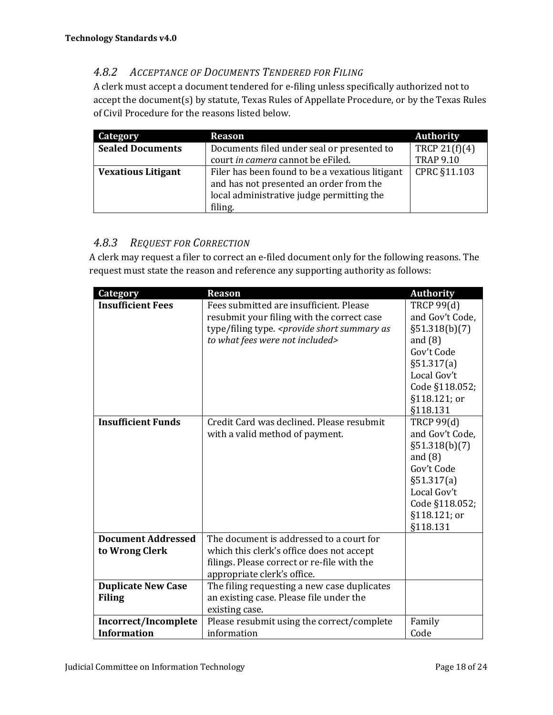#### *4.8.2 ACCEPTANCE OF DOCUMENTS TENDERED FOR FILING*

A clerk must accept a document tendered for e-filing unless specifically authorized not to accept the document(s) by statute, Texas Rules of Appellate Procedure, or by the Texas Rules of Civil Procedure for the reasons listed below.

| Category                  | <b>Reason</b>                                   | <b>Authority</b> |
|---------------------------|-------------------------------------------------|------------------|
| <b>Sealed Documents</b>   | Documents filed under seal or presented to      | TRCP $21(f)(4)$  |
|                           | court in camera cannot be eFiled.               | <b>TRAP 9.10</b> |
| <b>Vexatious Litigant</b> | Filer has been found to be a vexatious litigant | CPRC §11.103     |
|                           | and has not presented an order from the         |                  |
|                           | local administrative judge permitting the       |                  |
|                           | filing.                                         |                  |

#### *4.8.3 REQUEST FOR CORRECTION*

A clerk may request a filer to correct an e-filed document only for the following reasons. The request must state the reason and reference any supporting authority as follows:

| <b>Category</b>           | <b>Reason</b>                                | <b>Authority</b>  |
|---------------------------|----------------------------------------------|-------------------|
| <b>Insufficient Fees</b>  | Fees submitted are insufficient. Please      | <b>TRCP 99(d)</b> |
|                           | resubmit your filing with the correct case   | and Gov't Code,   |
|                           | type/filing type. < provide short summary as | §51.318(b)(7)     |
|                           | to what fees were not included>              | and $(8)$         |
|                           |                                              | Gov't Code        |
|                           |                                              | §51.317(a)        |
|                           |                                              | Local Gov't       |
|                           |                                              | Code §118.052;    |
|                           |                                              | §118.121; or      |
|                           |                                              | §118.131          |
| <b>Insufficient Funds</b> | Credit Card was declined. Please resubmit    | <b>TRCP 99(d)</b> |
|                           | with a valid method of payment.              | and Gov't Code,   |
|                           |                                              | §51.318(b)(7)     |
|                           |                                              | and $(8)$         |
|                           |                                              | Gov't Code        |
|                           |                                              | §51.317(a)        |
|                           |                                              | Local Gov't       |
|                           |                                              | Code §118.052;    |
|                           |                                              | §118.121; or      |
|                           |                                              | §118.131          |
| <b>Document Addressed</b> | The document is addressed to a court for     |                   |
| to Wrong Clerk            | which this clerk's office does not accept    |                   |
|                           | filings. Please correct or re-file with the  |                   |
|                           | appropriate clerk's office.                  |                   |
| <b>Duplicate New Case</b> | The filing requesting a new case duplicates  |                   |
| <b>Filing</b>             | an existing case. Please file under the      |                   |
|                           | existing case.                               |                   |
| Incorrect/Incomplete      | Please resubmit using the correct/complete   | Family            |
| <b>Information</b>        | information                                  | Code              |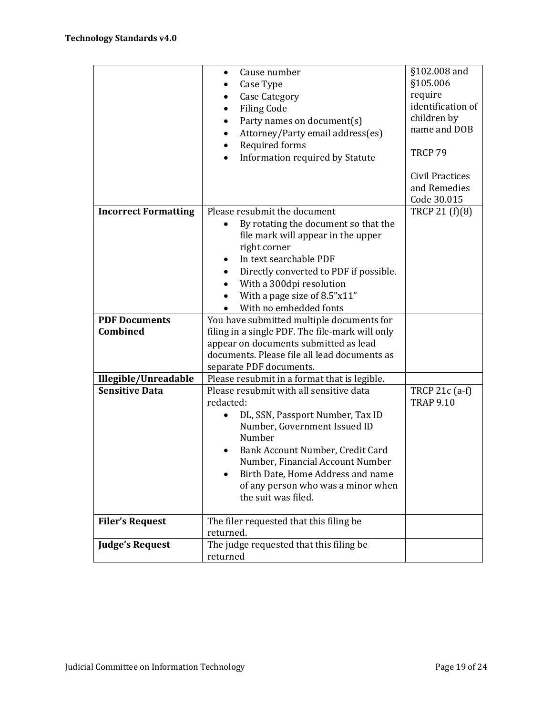|                                               | Cause number<br>$\bullet$<br>Case Type<br>٠<br><b>Case Category</b><br>٠<br><b>Filing Code</b><br>$\bullet$<br>Party names on document(s)<br>$\bullet$<br>Attorney/Party email address(es)<br>$\bullet$<br>Required forms<br>$\bullet$<br>Information required by Statute<br>$\bullet$                                      | §102.008 and<br>§105.006<br>require<br>identification of<br>children by<br>name and DOB<br>TRCP 79 |
|-----------------------------------------------|-----------------------------------------------------------------------------------------------------------------------------------------------------------------------------------------------------------------------------------------------------------------------------------------------------------------------------|----------------------------------------------------------------------------------------------------|
|                                               |                                                                                                                                                                                                                                                                                                                             | Civil Practices<br>and Remedies<br>Code 30.015                                                     |
| <b>Incorrect Formatting</b>                   | Please resubmit the document<br>By rotating the document so that the<br>$\bullet$<br>file mark will appear in the upper<br>right corner<br>In text searchable PDF<br>$\bullet$<br>Directly converted to PDF if possible.<br>$\bullet$<br>With a 300dpi resolution<br>With a page size of 8.5"x11"<br>With no embedded fonts | TRCP 21 (f)(8)                                                                                     |
| <b>PDF Documents</b>                          | You have submitted multiple documents for                                                                                                                                                                                                                                                                                   |                                                                                                    |
| Combined                                      | filing in a single PDF. The file-mark will only                                                                                                                                                                                                                                                                             |                                                                                                    |
|                                               | appear on documents submitted as lead                                                                                                                                                                                                                                                                                       |                                                                                                    |
|                                               | documents. Please file all lead documents as                                                                                                                                                                                                                                                                                |                                                                                                    |
|                                               | separate PDF documents.                                                                                                                                                                                                                                                                                                     |                                                                                                    |
| Illegible/Unreadable<br><b>Sensitive Data</b> | Please resubmit in a format that is legible.                                                                                                                                                                                                                                                                                |                                                                                                    |
|                                               | Please resubmit with all sensitive data<br>redacted:                                                                                                                                                                                                                                                                        | TRCP 21c (a-f)<br><b>TRAP 9.10</b>                                                                 |
|                                               | DL, SSN, Passport Number, Tax ID<br>$\bullet$<br>Number, Government Issued ID<br>Number<br>Bank Account Number, Credit Card<br>٠<br>Number, Financial Account Number<br>Birth Date, Home Address and name<br>$\bullet$<br>of any person who was a minor when<br>the suit was filed.                                         |                                                                                                    |
| <b>Filer's Request</b>                        | The filer requested that this filing be                                                                                                                                                                                                                                                                                     |                                                                                                    |
|                                               | returned.                                                                                                                                                                                                                                                                                                                   |                                                                                                    |
| <b>Judge's Request</b>                        | The judge requested that this filing be<br>returned                                                                                                                                                                                                                                                                         |                                                                                                    |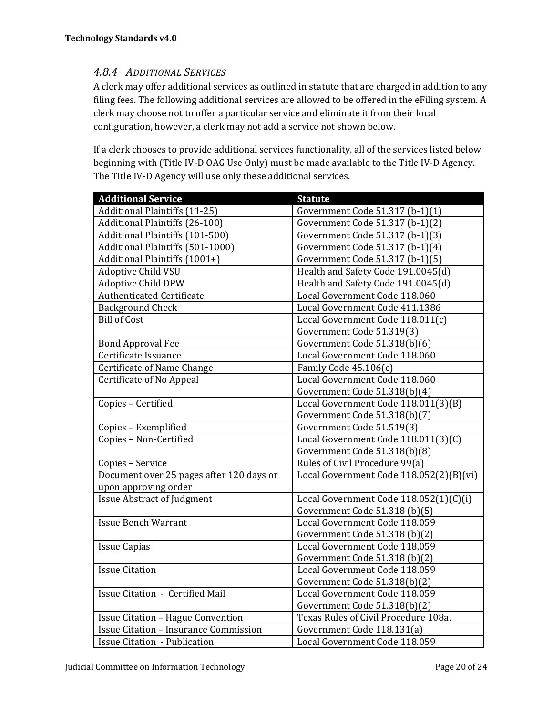#### *4.8.4 ADDITIONAL SERVICES*

A clerk may offer additional services as outlined in statute that are charged in addition to any filing fees. The following additional services are allowed to be offered in the eFiling system. A clerk may choose not to offer a particular service and eliminate it from their local configuration, however, a clerk may not add a service not shown below.

If a clerk chooses to provide additional services functionality, all of the services listed below beginning with (Title IV-D OAG Use Only) must be made available to the Title IV-D Agency. The Title IV-D Agency will use only these additional services.

| <b>Additional Service</b>                    | <b>Statute</b>                          |
|----------------------------------------------|-----------------------------------------|
| <b>Additional Plaintiffs (11-25)</b>         | Government Code 51.317 (b-1)(1)         |
| Additional Plaintiffs (26-100)               | Government Code 51.317 (b-1)(2)         |
| Additional Plaintiffs (101-500)              | Government Code 51.317 (b-1)(3)         |
| Additional Plaintiffs (501-1000)             | Government Code 51.317 (b-1)(4)         |
| Additional Plaintiffs (1001+)                | Government Code 51.317 (b-1)(5)         |
| <b>Adoptive Child VSU</b>                    | Health and Safety Code 191.0045(d)      |
| <b>Adoptive Child DPW</b>                    | Health and Safety Code 191.0045(d)      |
| Authenticated Certificate                    | Local Government Code 118.060           |
| <b>Background Check</b>                      | Local Government Code 411.1386          |
| <b>Bill of Cost</b>                          | Local Government Code 118.011(c)        |
|                                              | Government Code 51.319(3)               |
| <b>Bond Approval Fee</b>                     | Government Code 51.318(b)(6)            |
| Certificate Issuance                         | Local Government Code 118.060           |
| Certificate of Name Change                   | Family Code 45.106(c)                   |
| Certificate of No Appeal                     | Local Government Code 118.060           |
|                                              | Government Code 51.318(b)(4)            |
| Copies - Certified                           | Local Government Code 118.011(3)(B)     |
|                                              | Government Code 51.318(b)(7)            |
| Copies - Exemplified                         | Government Code 51.519(3)               |
| Copies - Non-Certified                       | Local Government Code 118.011(3)(C)     |
|                                              | Government Code 51.318(b)(8)            |
| Copies - Service                             | Rules of Civil Procedure 99(a)          |
| Document over 25 pages after 120 days or     | Local Government Code 118.052(2)(B)(vi) |
| upon approving order                         |                                         |
| <b>Issue Abstract of Judgment</b>            | Local Government Code 118.052(1)(C)(i)  |
|                                              | Government Code 51.318 (b)(5)           |
| <b>Issue Bench Warrant</b>                   | Local Government Code 118.059           |
|                                              | Government Code 51.318 (b)(2)           |
| <b>Issue Capias</b>                          | Local Government Code 118.059           |
|                                              | Government Code 51.318 (b)(2)           |
| <b>Issue Citation</b>                        | Local Government Code 118.059           |
|                                              | Government Code 51.318(b)(2)            |
| <b>Issue Citation - Certified Mail</b>       | Local Government Code 118.059           |
|                                              | Government Code 51.318(b)(2)            |
| <b>Issue Citation - Hague Convention</b>     | Texas Rules of Civil Procedure 108a.    |
| <b>Issue Citation - Insurance Commission</b> | Government Code 118.131(a)              |
| <b>Issue Citation - Publication</b>          | Local Government Code 118.059           |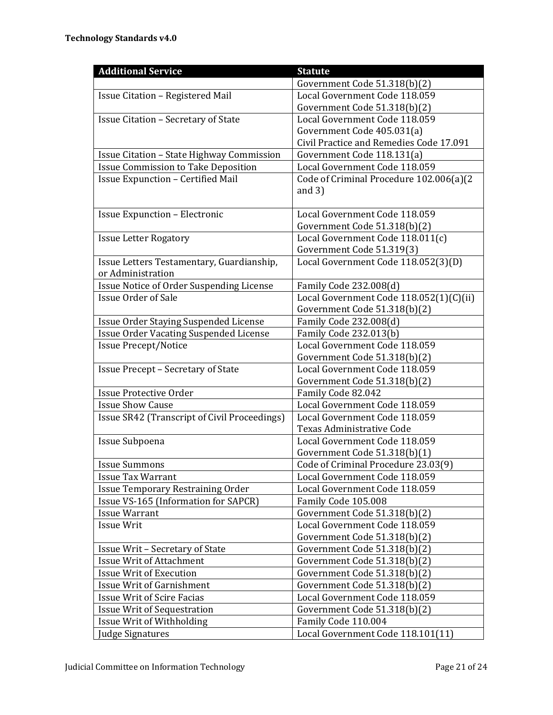| <b>Additional Service</b>                     | <b>Statute</b>                          |
|-----------------------------------------------|-----------------------------------------|
|                                               | Government Code 51.318(b)(2)            |
| <b>Issue Citation - Registered Mail</b>       | Local Government Code 118.059           |
|                                               | Government Code 51.318(b)(2)            |
| <b>Issue Citation - Secretary of State</b>    | Local Government Code 118.059           |
|                                               | Government Code 405.031(a)              |
|                                               | Civil Practice and Remedies Code 17.091 |
| Issue Citation - State Highway Commission     | Government Code 118.131(a)              |
| <b>Issue Commission to Take Deposition</b>    | Local Government Code 118.059           |
| <b>Issue Expunction - Certified Mail</b>      | Code of Criminal Procedure 102.006(a)(2 |
|                                               | and $3)$                                |
|                                               |                                         |
| <b>Issue Expunction - Electronic</b>          | Local Government Code 118.059           |
|                                               | Government Code 51.318(b)(2)            |
| <b>Issue Letter Rogatory</b>                  | Local Government Code 118.011(c)        |
|                                               | Government Code 51.319(3)               |
| Issue Letters Testamentary, Guardianship,     | Local Government Code 118.052(3)(D)     |
| or Administration                             |                                         |
| Issue Notice of Order Suspending License      | Family Code 232.008(d)                  |
| <b>Issue Order of Sale</b>                    | Local Government Code 118.052(1)(C)(ii) |
|                                               | Government Code 51.318(b)(2)            |
| Issue Order Staying Suspended License         | Family Code 232.008(d)                  |
| <b>Issue Order Vacating Suspended License</b> | Family Code 232.013(b)                  |
| <b>Issue Precept/Notice</b>                   | Local Government Code 118.059           |
|                                               | Government Code 51.318(b)(2)            |
| <b>Issue Precept - Secretary of State</b>     | Local Government Code 118.059           |
|                                               | Government Code 51.318(b)(2)            |
| <b>Issue Protective Order</b>                 | Family Code 82.042                      |
| <b>Issue Show Cause</b>                       | Local Government Code 118.059           |
| Issue SR42 (Transcript of Civil Proceedings)  | Local Government Code 118.059           |
|                                               | Texas Administrative Code               |
| Issue Subpoena                                | Local Government Code 118.059           |
|                                               | Government Code 51.318(b)(1)            |
| <b>Issue Summons</b>                          | Code of Criminal Procedure 23.03(9)     |
| <b>Issue Tax Warrant</b>                      | Local Government Code 118.059           |
| <b>Issue Temporary Restraining Order</b>      | Local Government Code 118.059           |
| Issue VS-165 (Information for SAPCR)          | Family Code 105.008                     |
| <b>Issue Warrant</b>                          | Government Code 51.318(b)(2)            |
| <b>Issue Writ</b>                             | Local Government Code 118.059           |
|                                               | Government Code 51.318(b)(2)            |
| Issue Writ - Secretary of State               | Government Code 51.318(b)(2)            |
| <b>Issue Writ of Attachment</b>               | Government Code 51.318(b)(2)            |
| <b>Issue Writ of Execution</b>                | Government Code 51.318(b)(2)            |
| <b>Issue Writ of Garnishment</b>              | Government Code 51.318(b)(2)            |
| <b>Issue Writ of Scire Facias</b>             | Local Government Code 118.059           |
| <b>Issue Writ of Sequestration</b>            | Government Code 51.318(b)(2)            |
| Issue Writ of Withholding                     | Family Code 110.004                     |
| <b>Judge Signatures</b>                       | Local Government Code 118.101(11)       |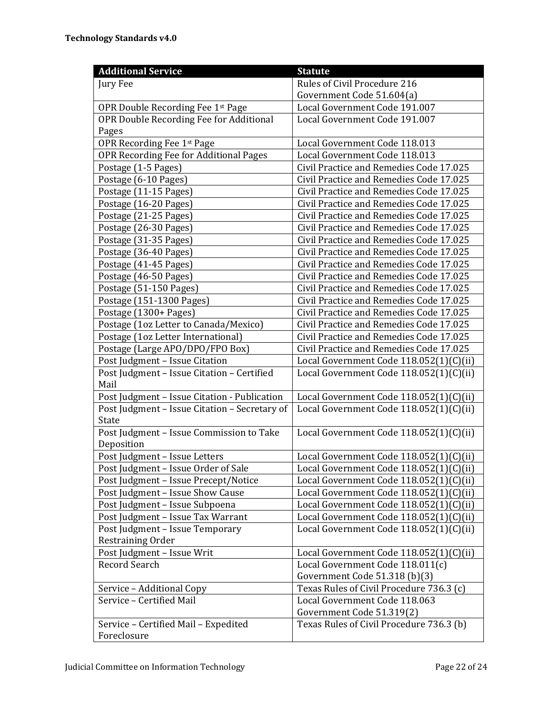| <b>Additional Service</b>                     | <b>Statute</b>                           |
|-----------------------------------------------|------------------------------------------|
| Jury Fee                                      | Rules of Civil Procedure 216             |
|                                               | Government Code 51.604(a)                |
| OPR Double Recording Fee 1st Page             | Local Government Code 191.007            |
| OPR Double Recording Fee for Additional       | Local Government Code 191.007            |
| Pages                                         |                                          |
| OPR Recording Fee 1st Page                    | Local Government Code 118.013            |
| OPR Recording Fee for Additional Pages        | Local Government Code 118.013            |
| Postage (1-5 Pages)                           | Civil Practice and Remedies Code 17.025  |
| Postage (6-10 Pages)                          | Civil Practice and Remedies Code 17.025  |
| Postage (11-15 Pages)                         | Civil Practice and Remedies Code 17.025  |
| Postage (16-20 Pages)                         | Civil Practice and Remedies Code 17.025  |
| Postage (21-25 Pages)                         | Civil Practice and Remedies Code 17.025  |
| Postage (26-30 Pages)                         | Civil Practice and Remedies Code 17.025  |
| Postage (31-35 Pages)                         | Civil Practice and Remedies Code 17.025  |
| Postage (36-40 Pages)                         | Civil Practice and Remedies Code 17.025  |
| Postage (41-45 Pages)                         | Civil Practice and Remedies Code 17.025  |
| Postage (46-50 Pages)                         | Civil Practice and Remedies Code 17.025  |
| Postage (51-150 Pages)                        | Civil Practice and Remedies Code 17.025  |
| Postage (151-1300 Pages)                      | Civil Practice and Remedies Code 17.025  |
| Postage (1300+ Pages)                         | Civil Practice and Remedies Code 17.025  |
| Postage (1oz Letter to Canada/Mexico)         | Civil Practice and Remedies Code 17.025  |
| Postage (1oz Letter International)            | Civil Practice and Remedies Code 17.025  |
| Postage (Large APO/DPO/FPO Box)               | Civil Practice and Remedies Code 17.025  |
| Post Judgment - Issue Citation                | Local Government Code 118.052(1)(C)(ii)  |
| Post Judgment - Issue Citation - Certified    | Local Government Code 118.052(1)(C)(ii)  |
| Mail                                          |                                          |
| Post Judgment - Issue Citation - Publication  | Local Government Code 118.052(1)(C)(ii)  |
| Post Judgment - Issue Citation - Secretary of | Local Government Code 118.052(1)(C)(ii)  |
| State                                         |                                          |
| Post Judgment - Issue Commission to Take      | Local Government Code 118.052(1)(C)(ii)  |
| Deposition                                    |                                          |
| Post Judgment - Issue Letters                 | Local Government Code 118.052(1)(C)(ii)  |
| Post Judgment - Issue Order of Sale           | Local Government Code 118.052(1)(C)(ii)  |
| Post Judgment - Issue Precept/Notice          | Local Government Code 118.052(1)(C)(ii)  |
| Post Judgment - Issue Show Cause              | Local Government Code 118.052(1)(C)(ii)  |
| Post Judgment - Issue Subpoena                | Local Government Code 118.052(1)(C)(ii)  |
| Post Judgment - Issue Tax Warrant             | Local Government Code 118.052(1)(C)(ii)  |
| Post Judgment - Issue Temporary               | Local Government Code 118.052(1)(C)(ii)  |
| Restraining Order                             |                                          |
| Post Judgment - Issue Writ                    | Local Government Code 118.052(1)(C)(ii)  |
| Record Search                                 | Local Government Code 118.011(c)         |
|                                               | Government Code 51.318 (b)(3)            |
| Service - Additional Copy                     | Texas Rules of Civil Procedure 736.3 (c) |
| Service - Certified Mail                      | Local Government Code 118.063            |
|                                               | Government Code 51.319(2)                |
| Service - Certified Mail - Expedited          | Texas Rules of Civil Procedure 736.3 (b) |
| Foreclosure                                   |                                          |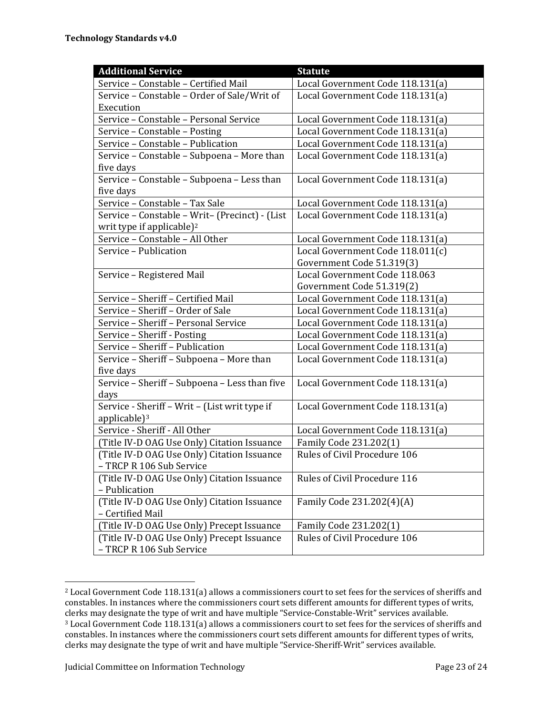| <b>Additional Service</b>                      | <b>Statute</b>                   |
|------------------------------------------------|----------------------------------|
| Service - Constable - Certified Mail           | Local Government Code 118.131(a) |
| Service - Constable - Order of Sale/Writ of    | Local Government Code 118.131(a) |
| Execution                                      |                                  |
| Service - Constable - Personal Service         | Local Government Code 118.131(a) |
| Service - Constable - Posting                  | Local Government Code 118.131(a) |
| Service - Constable - Publication              | Local Government Code 118.131(a) |
| Service - Constable - Subpoena - More than     | Local Government Code 118.131(a) |
| five days                                      |                                  |
| Service - Constable - Subpoena - Less than     | Local Government Code 118.131(a) |
| five days                                      |                                  |
| Service - Constable - Tax Sale                 | Local Government Code 118.131(a) |
| Service - Constable - Writ- (Precinct) - (List | Local Government Code 118.131(a) |
| writ type if applicable) <sup>2</sup>          |                                  |
| Service - Constable - All Other                | Local Government Code 118.131(a) |
| Service - Publication                          | Local Government Code 118.011(c) |
|                                                | Government Code 51.319(3)        |
| Service - Registered Mail                      | Local Government Code 118.063    |
|                                                | Government Code 51.319(2)        |
| Service - Sheriff - Certified Mail             | Local Government Code 118.131(a) |
| Service - Sheriff - Order of Sale              | Local Government Code 118.131(a) |
| Service - Sheriff - Personal Service           | Local Government Code 118.131(a) |
| Service - Sheriff - Posting                    | Local Government Code 118.131(a) |
| Service - Sheriff - Publication                | Local Government Code 118.131(a) |
| Service - Sheriff - Subpoena - More than       | Local Government Code 118.131(a) |
| five days                                      |                                  |
| Service - Sheriff - Subpoena - Less than five  | Local Government Code 118.131(a) |
| days                                           |                                  |
| Service - Sheriff - Writ - (List writ type if  | Local Government Code 118.131(a) |
| applicable) <sup>3</sup>                       |                                  |
| Service - Sheriff - All Other                  | Local Government Code 118.131(a) |
| (Title IV-D OAG Use Only) Citation Issuance    | Family Code 231.202(1)           |
| (Title IV-D OAG Use Only) Citation Issuance    | Rules of Civil Procedure 106     |
| - TRCP R 106 Sub Service                       |                                  |
| (Title IV-D OAG Use Only) Citation Issuance    | Rules of Civil Procedure 116     |
| - Publication                                  |                                  |
| (Title IV-D OAG Use Only) Citation Issuance    | Family Code 231.202(4)(A)        |
| - Certified Mail                               |                                  |
| (Title IV-D OAG Use Only) Precept Issuance     | Family Code 231.202(1)           |
| (Title IV-D OAG Use Only) Precept Issuance     | Rules of Civil Procedure 106     |
| - TRCP R 106 Sub Service                       |                                  |

<sup>&</sup>lt;sup>2</sup> Local Government Code 118.131(a) allows a commissioners court to set fees for the services of sheriffs and constables. In instances where the commissioners court sets different amounts for different types of writs, clerks may designate the type of writ and have multiple "Service-Constable-Writ" services available. <sup>3</sup> Local Government Code 118.131(a) allows a commissioners court to set fees for the services of sheriffs and constables. In instances where the commissioners court sets different amounts for different types of writs, clerks may designate the type of writ and have multiple "Service-Sheriff-Writ" services available.

<u> 1989 - Johann Stein, fransk politiker (d. 1989)</u>